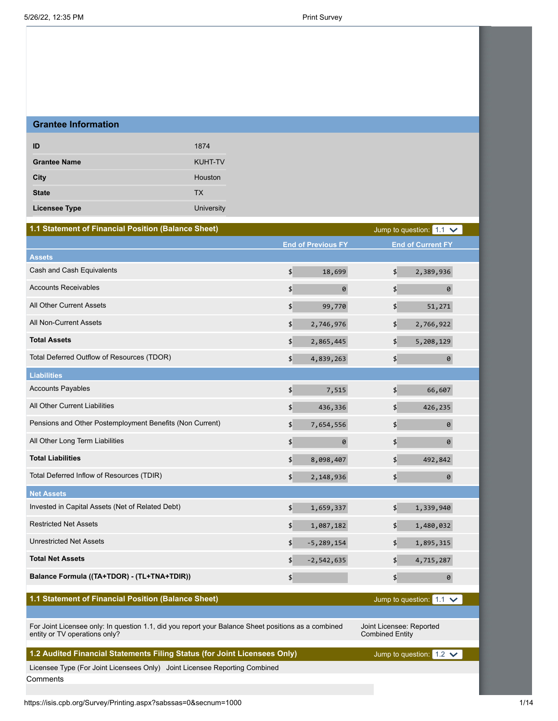| <b>Grantee Information</b> |                |
|----------------------------|----------------|
| ID                         | 1874           |
| <b>Grantee Name</b>        | <b>KUHT-TV</b> |
| City                       | Houston        |
| <b>State</b>               | <b>TX</b>      |
| <b>Licensee Type</b>       | University     |

| 1.1 Statement of Financial Position (Balance Sheet)                                                                                  |                        |                           |                                                    | Jump to question: $1.1 \times$ |  |
|--------------------------------------------------------------------------------------------------------------------------------------|------------------------|---------------------------|----------------------------------------------------|--------------------------------|--|
|                                                                                                                                      |                        | <b>End of Previous FY</b> |                                                    | <b>End of Current FY</b>       |  |
| <b>Assets</b>                                                                                                                        |                        |                           |                                                    |                                |  |
| Cash and Cash Equivalents                                                                                                            | $\boldsymbol{\phi}$    | 18,699                    | $\boldsymbol{\mathsf{S}}$                          | 2,389,936                      |  |
| <b>Accounts Receivables</b>                                                                                                          | \$                     | $\boldsymbol{\theta}$     | \$                                                 | 0                              |  |
| All Other Current Assets                                                                                                             | \$                     | 99,770                    | \$                                                 | 51,271                         |  |
| All Non-Current Assets                                                                                                               | \$                     | 2,746,976                 | $\frac{4}{5}$                                      | 2,766,922                      |  |
| <b>Total Assets</b>                                                                                                                  | \$                     | 2,865,445                 | \$                                                 | 5,208,129                      |  |
| Total Deferred Outflow of Resources (TDOR)                                                                                           | \$                     | 4,839,263                 | \$                                                 | 0                              |  |
| <b>Liabilities</b>                                                                                                                   |                        |                           |                                                    |                                |  |
| <b>Accounts Payables</b>                                                                                                             | $\left  \right\rangle$ | 7,515                     | \$                                                 | 66,607                         |  |
| All Other Current Liabilities                                                                                                        | \$                     | 436,336                   | $\frac{4}{5}$                                      | 426,235                        |  |
| Pensions and Other Postemployment Benefits (Non Current)                                                                             | \$                     | 7,654,556                 | $\frac{4}{5}$                                      | 0                              |  |
| All Other Long Term Liabilities                                                                                                      | \$                     | 0                         | \$                                                 | 0                              |  |
| <b>Total Liabilities</b>                                                                                                             | \$                     | 8,098,407                 | \$                                                 | 492,842                        |  |
| Total Deferred Inflow of Resources (TDIR)                                                                                            | \$                     | 2,148,936                 | $\pmb{\mathfrak{P}}$                               | 0                              |  |
| <b>Net Assets</b>                                                                                                                    |                        |                           |                                                    |                                |  |
| Invested in Capital Assets (Net of Related Debt)                                                                                     | $\boldsymbol{\phi}$    | 1,659,337                 | \$                                                 | 1,339,940                      |  |
| <b>Restricted Net Assets</b>                                                                                                         | $\boldsymbol{\phi}$    | 1,087,182                 | $\boldsymbol{\mathsf{S}}$                          | 1,480,032                      |  |
| <b>Unrestricted Net Assets</b>                                                                                                       | $\left  \right\rangle$ | $-5, 289, 154$            | \$                                                 | 1,895,315                      |  |
| <b>Total Net Assets</b>                                                                                                              | \$                     | $-2,542,635$              | \$                                                 | 4,715,287                      |  |
| Balance Formula ((TA+TDOR) - (TL+TNA+TDIR))                                                                                          | \$                     |                           | \$                                                 | 0                              |  |
| 1.1 Statement of Financial Position (Balance Sheet)                                                                                  |                        |                           |                                                    | Jump to question: $1.1 \times$ |  |
|                                                                                                                                      |                        |                           |                                                    |                                |  |
| For Joint Licensee only: In question 1.1, did you report your Balance Sheet positions as a combined<br>entity or TV operations only? |                        |                           | Joint Licensee: Reported<br><b>Combined Entity</b> |                                |  |

# **1.2 Audited Financial Statements Filing Status (for Joint Licensees Only)**

Licensee Type (For Joint Licensees Only) Joint Licensee Reporting Combined **Comments** 

Jump to question:  $1.2 \times$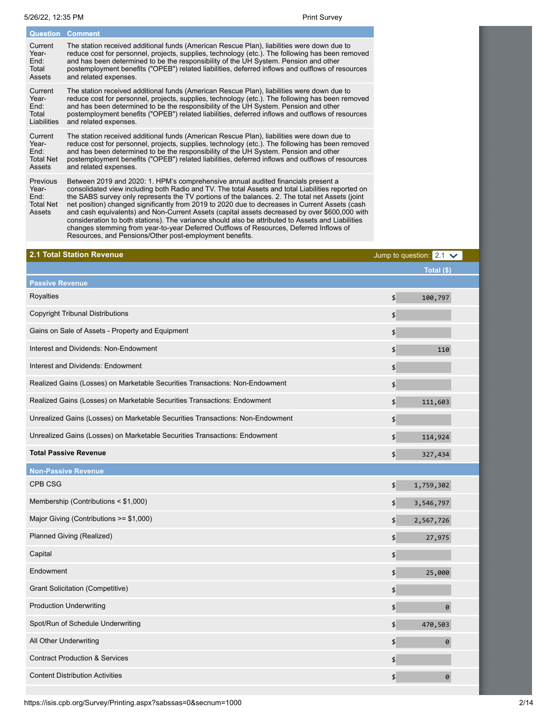| <b>Question</b>                                                | <b>Comment</b>                                                                                                                                                                                                                                                                                                                                                                                                                                                                                                                                                                                    |
|----------------------------------------------------------------|---------------------------------------------------------------------------------------------------------------------------------------------------------------------------------------------------------------------------------------------------------------------------------------------------------------------------------------------------------------------------------------------------------------------------------------------------------------------------------------------------------------------------------------------------------------------------------------------------|
| Current                                                        | The station received additional funds (American Rescue Plan), liabilities were down due to                                                                                                                                                                                                                                                                                                                                                                                                                                                                                                        |
| Year-                                                          | reduce cost for personnel, projects, supplies, technology (etc.). The following has been removed                                                                                                                                                                                                                                                                                                                                                                                                                                                                                                  |
| End:                                                           | and has been determined to be the responsibility of the UH System. Pension and other                                                                                                                                                                                                                                                                                                                                                                                                                                                                                                              |
| Total                                                          | postemployment benefits ("OPEB") related liabilities, deferred inflows and outflows of resources                                                                                                                                                                                                                                                                                                                                                                                                                                                                                                  |
| Assets                                                         | and related expenses.                                                                                                                                                                                                                                                                                                                                                                                                                                                                                                                                                                             |
| Current                                                        | The station received additional funds (American Rescue Plan), liabilities were down due to                                                                                                                                                                                                                                                                                                                                                                                                                                                                                                        |
| Year-                                                          | reduce cost for personnel, projects, supplies, technology (etc.). The following has been removed                                                                                                                                                                                                                                                                                                                                                                                                                                                                                                  |
| End:                                                           | and has been determined to be the responsibility of the UH System. Pension and other                                                                                                                                                                                                                                                                                                                                                                                                                                                                                                              |
| Total                                                          | postemployment benefits ("OPEB") related liabilities, deferred inflows and outflows of resources                                                                                                                                                                                                                                                                                                                                                                                                                                                                                                  |
| Liabilities                                                    | and related expenses.                                                                                                                                                                                                                                                                                                                                                                                                                                                                                                                                                                             |
| Current                                                        | The station received additional funds (American Rescue Plan), liabilities were down due to                                                                                                                                                                                                                                                                                                                                                                                                                                                                                                        |
| Year-                                                          | reduce cost for personnel, projects, supplies, technology (etc.). The following has been removed                                                                                                                                                                                                                                                                                                                                                                                                                                                                                                  |
| End:                                                           | and has been determined to be the responsibility of the UH System. Pension and other                                                                                                                                                                                                                                                                                                                                                                                                                                                                                                              |
| <b>Total Net</b>                                               | postemployment benefits ("OPEB") related liabilities, deferred inflows and outflows of resources                                                                                                                                                                                                                                                                                                                                                                                                                                                                                                  |
| Assets                                                         | and related expenses.                                                                                                                                                                                                                                                                                                                                                                                                                                                                                                                                                                             |
| <b>Previous</b><br>Year-<br>End:<br><b>Total Net</b><br>Assets | Between 2019 and 2020: 1. HPM's comprehensive annual audited financials present a<br>consolidated view including both Radio and TV. The total Assets and total Liabilities reported on<br>the SABS survey only represents the TV portions of the balances. 2. The total net Assets (joint<br>net position) changed significantly from 2019 to 2020 due to decreases in Current Assets (cash<br>and cash equivalents) and Non-Current Assets (capital assets decreased by over \$600,000 with<br>consideration to both stations). The variance should also be attributed to Assets and Liabilities |

changes stemming from year-to-year Deferred Outflows of Resources, Deferred Inflows of

Resources, and Pensions/Other post-employment benefits.

| 2.1 Total Station Revenue                                                      | Jump to question: $2.1 \times$ |
|--------------------------------------------------------------------------------|--------------------------------|
|                                                                                | Total (\$)                     |
| <b>Passive Revenue</b>                                                         |                                |
| Royalties                                                                      | \$<br>100,797                  |
| <b>Copyright Tribunal Distributions</b>                                        | \$                             |
| Gains on Sale of Assets - Property and Equipment                               | \$                             |
| Interest and Dividends: Non-Endowment                                          | \$<br>110                      |
| Interest and Dividends: Endowment                                              | \$                             |
| Realized Gains (Losses) on Marketable Securities Transactions: Non-Endowment   | \$                             |
| Realized Gains (Losses) on Marketable Securities Transactions: Endowment       | \$<br>111,603                  |
| Unrealized Gains (Losses) on Marketable Securities Transactions: Non-Endowment | \$                             |
| Unrealized Gains (Losses) on Marketable Securities Transactions: Endowment     | \$<br>114,924                  |
| <b>Total Passive Revenue</b>                                                   | \$<br>327,434                  |
| <b>Non-Passive Revenue</b>                                                     |                                |
| CPB CSG                                                                        | \$<br>1,759,302                |
| Membership (Contributions < \$1,000)                                           | \$<br>3,546,797                |
| Major Giving (Contributions >= \$1,000)                                        | 2,567,726<br>\$                |
| Planned Giving (Realized)                                                      | \$<br>27,975                   |
| Capital                                                                        | \$                             |
| Endowment                                                                      | \$<br>25,000                   |
| Grant Solicitation (Competitive)                                               | \$                             |
| <b>Production Underwriting</b>                                                 | \$<br>0                        |
| Spot/Run of Schedule Underwriting                                              | \$<br>470,503                  |
| All Other Underwriting                                                         | \$<br>0                        |
| <b>Contract Production &amp; Services</b>                                      | \$                             |
| <b>Content Distribution Activities</b>                                         | \$<br>$\theta$                 |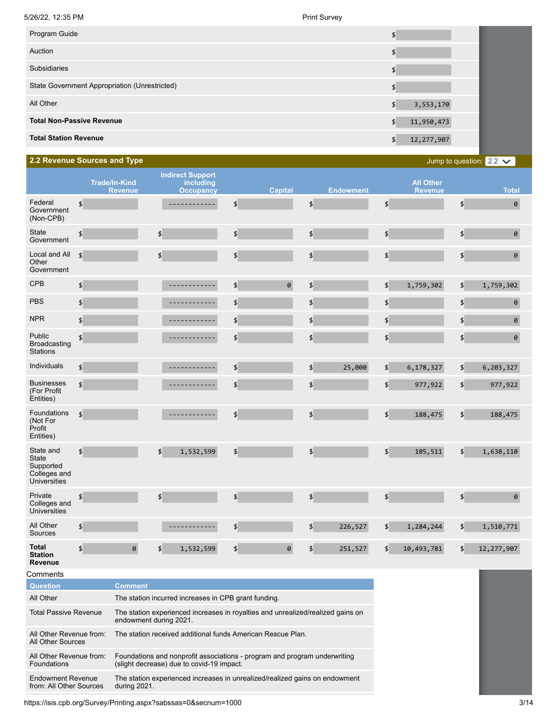| Program Guide                                 |                    |
|-----------------------------------------------|--------------------|
| Auction                                       |                    |
| <b>Subsidiaries</b>                           |                    |
| State Government Appropriation (Unrestricted) |                    |
| All Other                                     | 3,553,170<br>\$    |
| <b>Total Non-Passive Revenue</b>              | 11,950,473<br>\$   |
| <b>Total Station Revenue</b>                  | 12, 277, 907<br>\$ |
|                                               |                    |

## **2.2 Revenue Sources and Type**

Jump to question:  $2.2 \times$ 

|                                                                        |                                                             | <b>Trade/In-Kind</b><br><b>Revenue</b> | <b>Indirect Support</b><br>including<br><b>Occupancy</b>                        |                             | <b>Capital</b> |               | <b>Endowment</b> |                     | <b>All Other</b><br><b>Revenue</b> |                           | <b>Total</b>   |
|------------------------------------------------------------------------|-------------------------------------------------------------|----------------------------------------|---------------------------------------------------------------------------------|-----------------------------|----------------|---------------|------------------|---------------------|------------------------------------|---------------------------|----------------|
| Federal<br>Government<br>(Non-CPB)                                     | $\boldsymbol{\phi}$                                         |                                        | ------------                                                                    | $\boldsymbol{\phi}$         |                | $\frac{4}{5}$ |                  | \$                  |                                    | \$                        | $\pmb{\Theta}$ |
| <b>State</b><br>Government                                             | \$                                                          |                                        | \$                                                                              | $\boldsymbol{\mathsf{L}}$   |                | \$            |                  | \$                  |                                    | \$                        | $\Theta$       |
| Local and All<br>Other<br>Government                                   | $\boldsymbol{\phi}$                                         |                                        | \$                                                                              | $\boldsymbol{\phi}$         |                | \$            |                  | \$                  |                                    | \$                        | $\pmb{\Theta}$ |
| <b>CPB</b>                                                             | \$                                                          |                                        |                                                                                 | $\boldsymbol{\mathsf{L}}$   | $\Theta$       | \$            |                  | \$                  | 1,759,302                          | \$                        | 1,759,302      |
| <b>PBS</b>                                                             | \$                                                          |                                        | ----------                                                                      | $\boldsymbol{\mathsf{L}}$   |                | \$            |                  | \$                  |                                    | \$                        | $\pmb{\Theta}$ |
| <b>NPR</b>                                                             | \$                                                          |                                        | --------                                                                        | $\frac{1}{2}$               |                | \$            |                  | \$                  |                                    | \$                        | $\pmb{\Theta}$ |
| Public<br><b>Broadcasting</b><br><b>Stations</b>                       | \$                                                          |                                        | ---------                                                                       | \$                          |                | \$            |                  | \$                  |                                    | \$                        | $\theta$       |
| Individuals                                                            | \$                                                          |                                        | ------                                                                          | \$                          |                | \$            | 25,000           | \$                  | 6,178,327                          | \$                        | 6,203,327      |
| <b>Businesses</b><br>(For Profit<br>Entities)                          | $\boldsymbol{\phi}$                                         |                                        |                                                                                 | $\frac{4}{5}$               |                | \$            |                  | \$                  | 977,922                            | \$                        | 977,922        |
| Foundations<br>(Not For<br>Profit<br>Entities)                         | $\boldsymbol{\mathsf{L}}$                                   |                                        | ------                                                                          | \$                          |                | \$            |                  | \$                  | 188,475                            | \$                        | 188,475        |
| State and<br>State<br>Supported<br>Colleges and<br><b>Universities</b> | $\boldsymbol{\phi}$                                         |                                        | \$<br>1,532,599                                                                 | $\boldsymbol{\updownarrow}$ |                | \$            |                  | \$                  | 105,511                            | \$                        | 1,638,110      |
| Private<br>Colleges and<br><b>Universities</b>                         | \$                                                          |                                        | $\boldsymbol{\mathsf{S}}$                                                       | $\boldsymbol{\mathsf{L}}$   |                | \$            |                  | \$                  |                                    | \$                        | $\Theta$       |
| All Other<br>Sources                                                   | \$                                                          |                                        |                                                                                 | $\boldsymbol{\phi}$         |                | \$            | 226,527          | \$                  | 1,284,244                          | $\boldsymbol{\mathsf{L}}$ | 1,510,771      |
| <b>Total</b><br><b>Station</b><br>Revenue                              | $\boldsymbol{\phi}$                                         | $\pmb{\Theta}$                         | $\frac{4}{5}$<br>1,532,599                                                      | $\boldsymbol{\phi}$         | $\theta$       | \$            | 251,527          | $\boldsymbol{\phi}$ | 10,493,781                         | \$                        | 12, 277, 907   |
| Comments                                                               |                                                             |                                        |                                                                                 |                             |                |               |                  |                     |                                    |                           |                |
| <b>Question</b>                                                        |                                                             | <b>Comment</b>                         |                                                                                 |                             |                |               |                  |                     |                                    |                           |                |
| All Other                                                              | The station incurred increases in CPB grant funding.        |                                        |                                                                                 |                             |                |               |                  |                     |                                    |                           |                |
| <b>Total Passive Revenue</b>                                           |                                                             | endowment during 2021.                 | The station experienced increases in royalties and unrealized/realized gains on |                             |                |               |                  |                     |                                    |                           |                |
| All Other Revenue from:                                                | The station received additional funds American Rescue Plan. |                                        |                                                                                 |                             |                |               |                  |                     |                                    |                           |                |

All Other Sources All Other Revenue from: Foundations Foundations and nonprofit associations - program and program underwriting (slight decrease) due to covid-19 impact. Endowment Revenue from: All Other Sources The station experienced increases in unrealized/realized gains on endowment during 2021.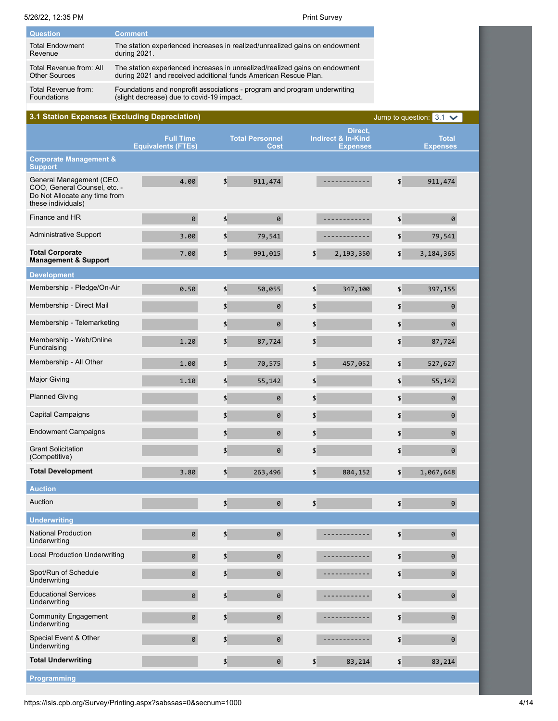| <b>Question</b>         | <b>Comment</b>                                                              |
|-------------------------|-----------------------------------------------------------------------------|
| <b>Total Endowment</b>  | The station experienced increases in realized/unrealized gains on endowment |
| Revenue                 | during 2021.                                                                |
| Total Revenue from: All | The station experienced increases in unrealized/realized gains on endowment |
| <b>Other Sources</b>    | during 2021 and received additional funds American Rescue Plan.             |
| Total Revenue from:     | Foundations and nonprofit associations - program and program underwriting   |
| <b>Foundations</b>      | (slight decrease) due to covid-19 impact.                                   |

| 3.1 Station Expenses (Excluding Depreciation)                                                                   |                                               |                             |                                |                        |                                                             |                           | Jump to question: $3.1 \times$  |  |
|-----------------------------------------------------------------------------------------------------------------|-----------------------------------------------|-----------------------------|--------------------------------|------------------------|-------------------------------------------------------------|---------------------------|---------------------------------|--|
|                                                                                                                 | <b>Full Time</b><br><b>Equivalents (FTEs)</b> |                             | <b>Total Personnel</b><br>Cost |                        | Direct,<br><b>Indirect &amp; In-Kind</b><br><b>Expenses</b> |                           | <b>Total</b><br><b>Expenses</b> |  |
| <b>Corporate Management &amp;</b><br><b>Support</b>                                                             |                                               |                             |                                |                        |                                                             |                           |                                 |  |
| General Management (CEO,<br>COO, General Counsel, etc. -<br>Do Not Allocate any time from<br>these individuals) | 4.00                                          | \$                          | 911,474                        |                        | --------                                                    | $\boldsymbol{\phi}$       | 911,474                         |  |
| Finance and HR                                                                                                  | 0                                             | $\frac{4}{5}$               | 0                              |                        | -----------                                                 | $\boldsymbol{\mathsf{L}}$ | 0                               |  |
| <b>Administrative Support</b>                                                                                   | 3.00                                          | \$                          | 79,541                         |                        |                                                             | \$                        | 79,541                          |  |
| <b>Total Corporate</b><br><b>Management &amp; Support</b>                                                       | 7.00                                          | \$                          | 991,015                        | \$                     | 2,193,350                                                   | \$                        | 3, 184, 365                     |  |
| <b>Development</b>                                                                                              |                                               |                             |                                |                        |                                                             |                           |                                 |  |
| Membership - Pledge/On-Air                                                                                      | 0.50                                          | \$                          | 50,055                         | $\left  \right\rangle$ | 347,100                                                     | \$                        | 397,155                         |  |
| Membership - Direct Mail                                                                                        |                                               | \$                          | 0                              | \$                     |                                                             | \$                        | 0                               |  |
| Membership - Telemarketing                                                                                      |                                               | \$                          | $\Theta$                       | $\left  \right\rangle$ |                                                             | \$                        | 0                               |  |
| Membership - Web/Online<br>Fundraising                                                                          | 1.20                                          | \$                          | 87,724                         | $\left  \right\rangle$ |                                                             | \$                        | 87,724                          |  |
| Membership - All Other                                                                                          | 1.00                                          | \$                          | 70,575                         | \$                     | 457,052                                                     | \$                        | 527,627                         |  |
| <b>Major Giving</b>                                                                                             | 1.10                                          | \$                          | 55,142                         | \$                     |                                                             | \$                        | 55,142                          |  |
| <b>Planned Giving</b>                                                                                           |                                               | \$                          | $\theta$                       | $\boldsymbol{\phi}$    |                                                             | \$                        | 0                               |  |
| <b>Capital Campaigns</b>                                                                                        |                                               | \$                          | 0                              | \$                     |                                                             | \$                        | 0                               |  |
| <b>Endowment Campaigns</b>                                                                                      |                                               | \$                          | $\Theta$                       | \$                     |                                                             | \$                        | 0                               |  |
| <b>Grant Solicitation</b><br>(Competitive)                                                                      |                                               | \$                          | $\Theta$                       | $\left  \right\rangle$ |                                                             | \$                        | 0                               |  |
| <b>Total Development</b>                                                                                        | 3.80                                          | \$                          | 263,496                        | \$                     | 804,152                                                     | \$                        | 1,067,648                       |  |
| <b>Auction</b>                                                                                                  |                                               |                             |                                |                        |                                                             |                           |                                 |  |
| Auction                                                                                                         |                                               | \$                          | 0                              | \$                     |                                                             | \$                        | 0                               |  |
| <b>Underwriting</b>                                                                                             |                                               |                             |                                |                        |                                                             |                           |                                 |  |
| <b>National Production</b><br>Underwriting                                                                      | $\theta$                                      | \$                          | $\theta$                       |                        | ---------                                                   | \$                        | $\Theta$                        |  |
| <b>Local Production Underwriting</b>                                                                            | $\theta$                                      | $\boldsymbol{\updownarrow}$ | $\theta$                       |                        |                                                             | \$                        | 0                               |  |
| Spot/Run of Schedule<br>Underwriting                                                                            | $\theta$                                      | \$                          | 0                              |                        | --------                                                    | $\boldsymbol{\phi}$       | 0                               |  |
| <b>Educational Services</b><br>Underwriting                                                                     | $\theta$                                      | \$                          | $\theta$                       |                        | ---------                                                   | $\boldsymbol{\phi}$       | 0                               |  |
| <b>Community Engagement</b><br>Underwriting                                                                     | $\theta$                                      | \$                          | $\theta$                       |                        | -----------                                                 | $\boldsymbol{\phi}$       | 0                               |  |
| Special Event & Other<br>Underwriting                                                                           | 0                                             | \$                          | $\theta$                       |                        | -----------                                                 | \$                        | 0                               |  |
| <b>Total Underwriting</b>                                                                                       |                                               | $\boldsymbol{\updownarrow}$ | $\theta$                       | \$                     | 83,214                                                      | \$                        | 83,214                          |  |
| Programming                                                                                                     |                                               |                             |                                |                        |                                                             |                           |                                 |  |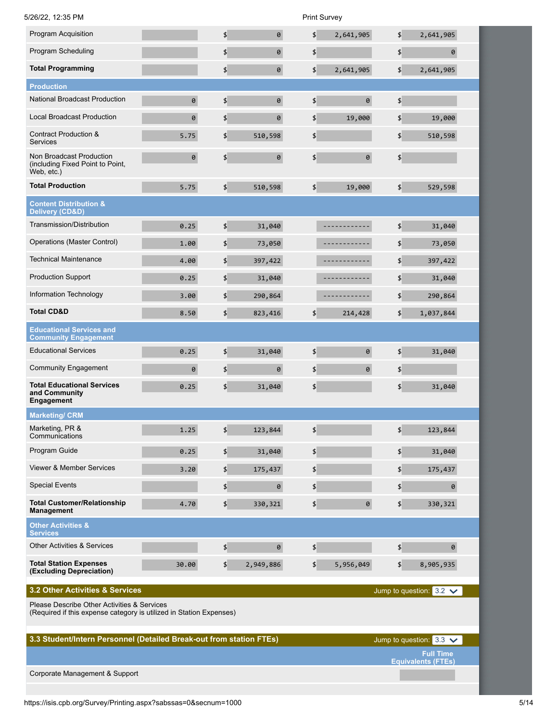| 5/26/22, 12:35 PM                                                          |          |                     |           |                     | <b>Print Survey</b> |                            |                                |
|----------------------------------------------------------------------------|----------|---------------------|-----------|---------------------|---------------------|----------------------------|--------------------------------|
| Program Acquisition                                                        |          | \$                  | $\theta$  | \$                  | 2,641,905           | $\pmb{\mathfrak{z}}$       | 2,641,905                      |
| Program Scheduling                                                         |          | $\boldsymbol{\phi}$ | 0         | \$                  |                     | $\boldsymbol{\mathsf{L}}$  | 0                              |
| <b>Total Programming</b>                                                   |          | \$                  | $\theta$  | \$                  | 2,641,905           | \$                         | 2,641,905                      |
| <b>Production</b>                                                          |          |                     |           |                     |                     |                            |                                |
| <b>National Broadcast Production</b>                                       | $\theta$ | $\boldsymbol{\phi}$ | $\theta$  | \$                  | $\pmb{\theta}$      | $\boldsymbol{\mathsf{L}}$  |                                |
| <b>Local Broadcast Production</b>                                          | 0        | \$                  | 0         | \$                  | 19,000              | \$                         | 19,000                         |
| <b>Contract Production &amp;</b><br>Services                               | 5.75     | \$                  | 510,598   | \$                  |                     | $\boldsymbol{\mathsf{L}}$  | 510,598                        |
| Non Broadcast Production<br>(including Fixed Point to Point,<br>Web, etc.) | $\theta$ | \$                  | $\theta$  | \$                  | $\pmb{\Theta}$      | $\boldsymbol{\mathsf{\$}}$ |                                |
| <b>Total Production</b>                                                    | 5.75     | $\frac{4}{5}$       | 510,598   | $\boldsymbol{\phi}$ | 19,000              | $\boldsymbol{\phi}$        | 529,598                        |
| <b>Content Distribution &amp;</b><br>Delivery (CD&D)                       |          |                     |           |                     |                     |                            |                                |
| Transmission/Distribution                                                  | 0.25     | $\boldsymbol{\phi}$ | 31,040    |                     | .                   | $\boldsymbol{\phi}$        | 31,040                         |
| Operations (Master Control)                                                | 1.00     | \$                  | 73,050    |                     | --------            | \$                         | 73,050                         |
| <b>Technical Maintenance</b>                                               | 4.00     | \$                  | 397,422   |                     | <u>.</u>            | $\boldsymbol{\mathsf{L}}$  | 397,422                        |
| <b>Production Support</b>                                                  | 0.25     | \$                  | 31,040    |                     | -------             | \$                         | 31,040                         |
| Information Technology                                                     | 3.00     | \$                  | 290,864   |                     | ----------          | \$                         | 290,864                        |
| <b>Total CD&amp;D</b>                                                      | 8.50     | \$                  | 823,416   | \$                  | 214,428             | \$                         | 1,037,844                      |
| <b>Educational Services and</b><br><b>Community Engagement</b>             |          |                     |           |                     |                     |                            |                                |
| <b>Educational Services</b>                                                | 0.25     | $\boldsymbol{\phi}$ | 31,040    | \$                  | $\pmb{\theta}$      | $\boldsymbol{\phi}$        | 31,040                         |
| <b>Community Engagement</b>                                                | 0        | \$                  | 0         | \$                  | 0                   | \$                         |                                |
| <b>Total Educational Services</b><br>and Community<br>Engagement           | 0.25     | \$                  | 31,040    | \$                  |                     | \$                         | 31,040                         |
| <b>Marketing/ CRM</b>                                                      |          |                     |           |                     |                     |                            |                                |
| Marketing, PR &<br>Communications                                          | 1.25     | \$                  | 123,844   | $\boldsymbol{\phi}$ |                     | $\boldsymbol{\mathsf{S}}$  | 123,844                        |
| Program Guide                                                              | 0.25     | \$                  | 31,040    | \$                  |                     | $\boldsymbol{\mathsf{\$}}$ | 31,040                         |
| <b>Viewer &amp; Member Services</b>                                        | 3.20     | \$                  | 175,437   | \$                  |                     | $\boldsymbol{\mathsf{L}}$  | 175,437                        |
| <b>Special Events</b>                                                      |          | \$                  | $\Theta$  | \$                  |                     | \$                         | 0                              |
| <b>Total Customer/Relationship</b><br>Management                           | 4.70     | \$                  | 330,321   | \$                  | 0                   | \$                         | 330,321                        |
| <b>Other Activities &amp;</b><br><b>Services</b>                           |          |                     |           |                     |                     |                            |                                |
| <b>Other Activities &amp; Services</b>                                     |          | \$                  | $\theta$  | \$                  |                     | $\boldsymbol{\mathsf{L}}$  | 0                              |
| <b>Total Station Expenses</b><br>(Excluding Depreciation)                  | 30.00    | $\boldsymbol{\phi}$ | 2,949,886 | $\boldsymbol{\phi}$ | 5,956,049           | $\boldsymbol{\phi}$        | 8,905,935                      |
| 3.2 Other Activities & Services                                            |          |                     |           |                     |                     |                            | Jump to question: $3.2 \times$ |

Please Describe Other Activities & Services

(Required if this expense category is utilized in Station Expenses)

| 3.3 Student/Intern Personnel (Detailed Break-out from station FTEs) | Jump to question: $3.3 \times$                |
|---------------------------------------------------------------------|-----------------------------------------------|
|                                                                     | <b>Full Time</b><br><b>Equivalents (FTEs)</b> |
| Corporate Management & Support                                      |                                               |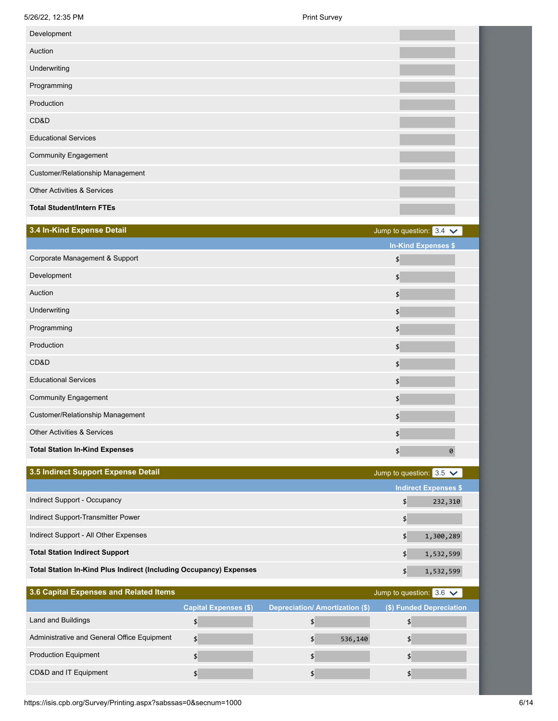| 3.4 In-Kind Expense Detail             | Jump to question: $3.4 \times$ |
|----------------------------------------|--------------------------------|
|                                        | <b>In-Kind Expenses \$</b>     |
| Corporate Management & Support         | $\boldsymbol{\mathsf{S}}$      |
| Development                            | $\boldsymbol{\mathsf{S}}$      |
| Auction                                | $\boldsymbol{\mathsf{S}}$      |
| Underwriting                           | $\frac{1}{2}$                  |
| Programming                            | $\boldsymbol{\phi}$            |
| Production                             | $\boldsymbol{\phi}$            |
| CD&D                                   | $\frac{4}{5}$                  |
| <b>Educational Services</b>            | $\frac{1}{2}$                  |
| <b>Community Engagement</b>            | $\frac{4}{5}$                  |
| Customer/Relationship Management       | $\frac{4}{5}$                  |
| <b>Other Activities &amp; Services</b> | $\boldsymbol{\phi}$            |
| <b>Total Station In-Kind Expenses</b>  | \$<br>0                        |
|                                        |                                |

| 3.5 Indirect Support Expense Detail                                       | Jump to question: $3.5 \checkmark$ |
|---------------------------------------------------------------------------|------------------------------------|
|                                                                           | <b>Indirect Expenses \$</b>        |
| Indirect Support - Occupancy                                              | 232,310                            |
| Indirect Support-Transmitter Power                                        |                                    |
| Indirect Support - All Other Expenses                                     | 1,300,289                          |
| <b>Total Station Indirect Support</b>                                     | 1,532,599                          |
| <b>Total Station In-Kind Plus Indirect (Including Occupancy) Expenses</b> | 1,532,599                          |

| 3.6 Capital Expenses and Related Items      |                              |                                       | Jump to question: $3.6 \checkmark$ |
|---------------------------------------------|------------------------------|---------------------------------------|------------------------------------|
|                                             | <b>Capital Expenses (\$)</b> | <b>Depreciation/Amortization (\$)</b> | (\$) Funded Depreciation           |
| Land and Buildings                          |                              |                                       |                                    |
| Administrative and General Office Equipment |                              | 536,140                               |                                    |
| <b>Production Equipment</b>                 |                              |                                       |                                    |
| CD&D and IT Equipment                       |                              |                                       |                                    |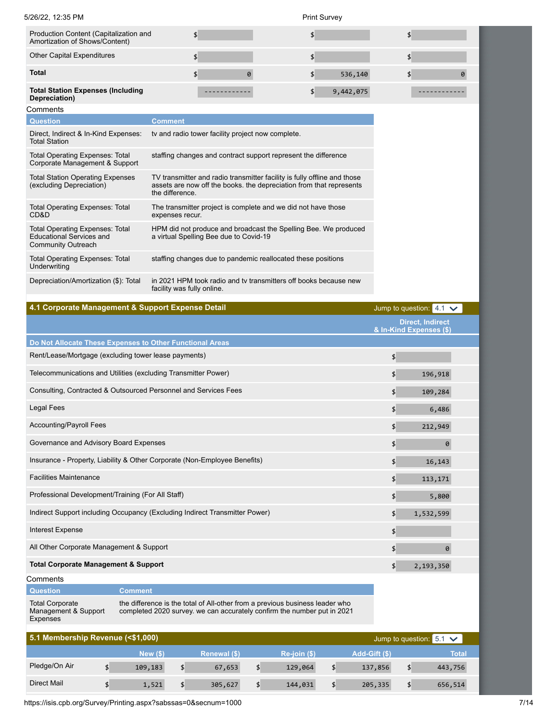| 5/26/22. 12:35 PM                                                                                      |                            |                                                                                                                                                         | <b>Print Survey</b> |                           |         |                                |                       |
|--------------------------------------------------------------------------------------------------------|----------------------------|---------------------------------------------------------------------------------------------------------------------------------------------------------|---------------------|---------------------------|---------|--------------------------------|-----------------------|
| Production Content (Capitalization and<br>Amortization of Shows/Content)                               | \$                         |                                                                                                                                                         | \$                  |                           |         | \$                             |                       |
| <b>Other Capital Expenditures</b>                                                                      | \$                         |                                                                                                                                                         | \$                  |                           |         | \$                             |                       |
| <b>Total</b>                                                                                           | \$                         | 0                                                                                                                                                       | \$                  | 536,140                   |         | \$                             | $\boldsymbol{\theta}$ |
| <b>Total Station Expenses (Including</b><br>Depreciation)                                              |                            | -------                                                                                                                                                 | \$                  | 9,442,075                 |         |                                |                       |
| Comments                                                                                               |                            |                                                                                                                                                         |                     |                           |         |                                |                       |
| <b>Question</b>                                                                                        | <b>Comment</b>             |                                                                                                                                                         |                     |                           |         |                                |                       |
| Direct, Indirect & In-Kind Expenses:<br><b>Total Station</b>                                           |                            | tv and radio tower facility project now complete.                                                                                                       |                     |                           |         |                                |                       |
| <b>Total Operating Expenses: Total</b><br>Corporate Management & Support                               |                            | staffing changes and contract support represent the difference                                                                                          |                     |                           |         |                                |                       |
| <b>Total Station Operating Expenses</b><br>(excluding Depreciation)                                    | the difference.            | TV transmitter and radio transmitter facility is fully offline and those<br>assets are now off the books. the depreciation from that represents         |                     |                           |         |                                |                       |
| <b>Total Operating Expenses: Total</b><br>CD&D                                                         | expenses recur.            | The transmitter project is complete and we did not have those                                                                                           |                     |                           |         |                                |                       |
| <b>Total Operating Expenses: Total</b><br><b>Educational Services and</b><br><b>Community Outreach</b> |                            | HPM did not produce and broadcast the Spelling Bee. We produced<br>a virtual Spelling Bee due to Covid-19                                               |                     |                           |         |                                |                       |
| <b>Total Operating Expenses: Total</b><br>Underwriting                                                 |                            | staffing changes due to pandemic reallocated these positions                                                                                            |                     |                           |         |                                |                       |
| Depreciation/Amortization (\$): Total                                                                  | facility was fully online. | in 2021 HPM took radio and tv transmitters off books because new                                                                                        |                     |                           |         |                                |                       |
| 4.1 Corporate Management & Support Expense Detail                                                      |                            |                                                                                                                                                         |                     |                           |         | Jump to question: $4.1 \times$ |                       |
|                                                                                                        |                            |                                                                                                                                                         |                     |                           |         | <b>Direct, Indirect</b>        |                       |
|                                                                                                        |                            |                                                                                                                                                         |                     |                           |         | & In-Kind Expenses (\$)        |                       |
| Do Not Allocate These Expenses to Other Functional Areas                                               |                            |                                                                                                                                                         |                     |                           |         |                                |                       |
| Rent/Lease/Mortgage (excluding tower lease payments)                                                   |                            |                                                                                                                                                         |                     |                           | \$      |                                |                       |
| Telecommunications and Utilities (excluding Transmitter Power)                                         |                            |                                                                                                                                                         |                     |                           | \$      | 196,918                        |                       |
| Consulting, Contracted & Outsourced Personnel and Services Fees                                        |                            |                                                                                                                                                         |                     |                           | \$      | 109,284                        |                       |
| <b>Legal Fees</b>                                                                                      |                            |                                                                                                                                                         |                     |                           | \$      | 6,486                          |                       |
| <b>Accounting/Payroll Fees</b>                                                                         |                            | \$                                                                                                                                                      | 212,949             |                           |         |                                |                       |
| Governance and Advisory Board Expenses                                                                 |                            |                                                                                                                                                         |                     |                           | \$      | 0                              |                       |
| Insurance - Property, Liability & Other Corporate (Non-Employee Benefits)                              |                            |                                                                                                                                                         |                     |                           | \$      | 16,143                         |                       |
| <b>Facilities Maintenance</b>                                                                          |                            |                                                                                                                                                         |                     |                           | \$      | 113,171                        |                       |
| Professional Development/Training (For All Staff)                                                      |                            |                                                                                                                                                         |                     |                           | \$      | 5,800                          |                       |
| Indirect Support including Occupancy (Excluding Indirect Transmitter Power)                            |                            |                                                                                                                                                         |                     |                           | \$      | 1,532,599                      |                       |
| <b>Interest Expense</b>                                                                                |                            |                                                                                                                                                         |                     |                           | \$      |                                |                       |
| All Other Corporate Management & Support                                                               |                            |                                                                                                                                                         |                     |                           | \$      | 0                              |                       |
| <b>Total Corporate Management &amp; Support</b>                                                        |                            |                                                                                                                                                         |                     |                           | \$      | 2,193,350                      |                       |
| Comments                                                                                               |                            |                                                                                                                                                         |                     |                           |         |                                |                       |
| <b>Question</b><br><b>Comment</b>                                                                      |                            |                                                                                                                                                         |                     |                           |         |                                |                       |
| <b>Total Corporate</b><br>Management & Support<br><b>Expenses</b>                                      |                            | the difference is the total of All-other from a previous business leader who<br>completed 2020 survey. we can accurately confirm the number put in 2021 |                     |                           |         |                                |                       |
| 5.1 Membership Revenue (<\$1,000)                                                                      |                            |                                                                                                                                                         |                     |                           |         | Jump to question: $5.1 \times$ |                       |
|                                                                                                        | New $($ )                  | Renewal (\$)                                                                                                                                            | Re-join (\$)        | Add-Gift (\$)             |         | <b>Total</b>                   |                       |
| Pledge/On Air<br>$\boldsymbol{\mathsf{S}}$                                                             | 109,183<br>\$              | 67,653<br>\$                                                                                                                                            | 129,064             | $\boldsymbol{\mathsf{S}}$ | 137,856 | $\boldsymbol{\phi}$<br>443,756 |                       |

Direct Mail \$ 1,521 \$ 305,627 \$ 144,031 \$ 205,335 \$ 656,514

https://isis.cpb.org/Survey/Printing.aspx?sabssas=0&secnum=1000 7/14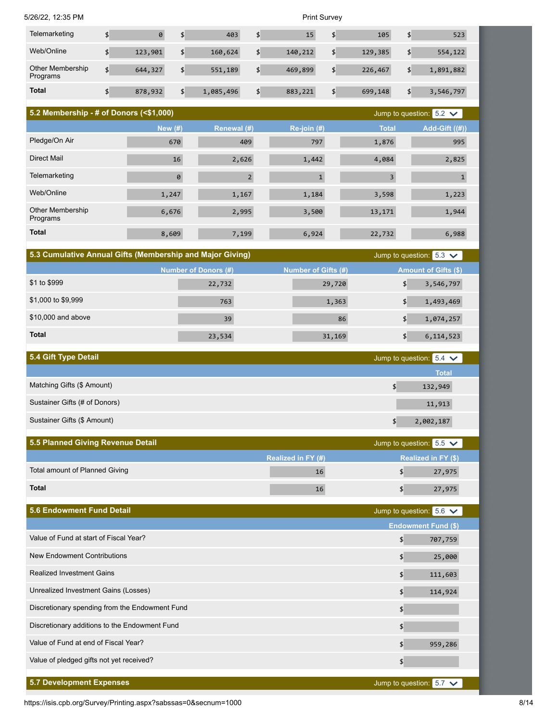| 5/26/22, 12:35 PM |  |
|-------------------|--|
|                   |  |

Print Survey

| Telemarketing                | Ø       | 403             | 15            | 105           | 523             |
|------------------------------|---------|-----------------|---------------|---------------|-----------------|
| Web/Online                   | 123,901 | \$<br>160,624   | \$<br>140,212 | 129,385       | \$<br>554,122   |
| Other Membership<br>Programs | 644,327 | \$<br>551,189   | \$<br>469,899 | \$<br>226,467 | \$<br>1,891,882 |
| <b>Total</b>                 | 878,932 | \$<br>1,085,496 | \$<br>883,221 | \$<br>699,148 | \$<br>3,546,797 |

| 5.2 Membership - # of Donors (<\$1,000)<br>Jump to question: $5.2 \times$ |           |                |             |              |                |
|---------------------------------------------------------------------------|-----------|----------------|-------------|--------------|----------------|
|                                                                           | New $(#)$ | Renewal (#)    | Re-join (#) | <b>Total</b> | Add-Gift ((#)) |
| Pledge/On Air                                                             | 670       | 409            | 797         | 1,876        | 995            |
| Direct Mail                                                               | 16        | 2,626          | 1,442       | 4,084        | 2,825          |
| Telemarketing                                                             | $\theta$  | $\overline{2}$ |             | 3            | $\mathbf{1}$   |
| Web/Online                                                                | 1,247     | 1,167          | 1,184       | 3,598        | 1,223          |
| <b>Other Membership</b><br>Programs                                       | 6,676     | 2,995          | 3,500       | 13,171       | 1,944          |
| <b>Total</b>                                                              | 8,609     | 7,199          | 6,924       | 22,732       | 6,988          |

| 5.3 Cumulative Annual Gifts (Membership and Major Giving)<br>Jump to question: $5.3 \checkmark$ |                      |                     |                             |  |  |
|-------------------------------------------------------------------------------------------------|----------------------|---------------------|-----------------------------|--|--|
|                                                                                                 | Number of Donors (#) | Number of Gifts (#) | <b>Amount of Gifts (\$)</b> |  |  |
| \$1 to \$999                                                                                    | 22,732               | 29,720              | 3,546,797                   |  |  |
| \$1,000 to \$9,999                                                                              | 763                  | 1,363               | 1,493,469                   |  |  |
| \$10,000 and above                                                                              | 39                   | 86                  | 1,074,257                   |  |  |
| <b>Total</b>                                                                                    | 23,534               | 31,169              | 6,114,523                   |  |  |

| 5.4 Gift Type Detail          | Jump to question: $5.4 \times$ |
|-------------------------------|--------------------------------|
|                               | <b>Total</b>                   |
| Matching Gifts (\$ Amount)    | 132,949                        |
| Sustainer Gifts (# of Donors) | 11,913                         |
| Sustainer Gifts (\$ Amount)   | 2,002,187                      |

| 5.5 Planned Giving Revenue Detail |                           | Jump to question: $5.5 \checkmark$ |
|-----------------------------------|---------------------------|------------------------------------|
|                                   | <b>Realized in FY (#)</b> | <b>Realized in FY (\$)</b>         |
| Total amount of Planned Giving    | 16                        | 27,975                             |
| <b>Total</b>                      |                           | 27,975                             |

| <b>5.6 Endowment Fund Detail</b>               | Jump to question: $5.6 \checkmark$ |
|------------------------------------------------|------------------------------------|
|                                                | <b>Endowment Fund (\$)</b>         |
| Value of Fund at start of Fiscal Year?         | 707,759<br>\$                      |
| New Endowment Contributions                    | $\frac{4}{5}$<br>25,000            |
| <b>Realized Investment Gains</b>               | \$<br>111,603                      |
| Unrealized Investment Gains (Losses)           | \$<br>114,924                      |
| Discretionary spending from the Endowment Fund | \$                                 |
| Discretionary additions to the Endowment Fund  | \$                                 |
| Value of Fund at end of Fiscal Year?           | \$<br>959,286                      |
| Value of pledged gifts not yet received?       | \$                                 |
|                                                |                                    |
| <b>5.7 Development Expenses</b>                | Jump to question: $5.7 \times$     |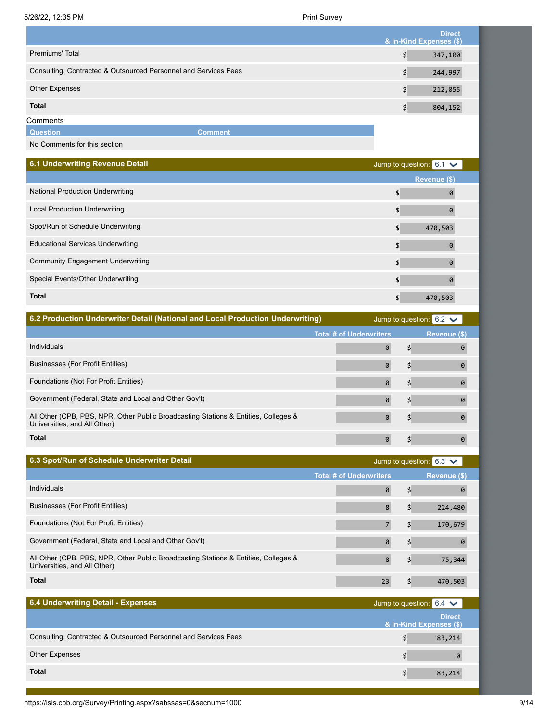|                                                                 |         | <b>Direct</b><br>& In-Kind Expenses (\$) |
|-----------------------------------------------------------------|---------|------------------------------------------|
| Premiums' Total                                                 |         | 347,100<br>\$                            |
| Consulting, Contracted & Outsourced Personnel and Services Fees |         | 244,997<br>\$                            |
| Other Expenses                                                  |         | 212,055<br>\$                            |
| <b>Total</b>                                                    |         | 804,152<br>\$                            |
| Comments                                                        |         |                                          |
| <b>Question</b>                                                 | Comment |                                          |

No Comments for this section

| 6.1 Underwriting Revenue Detail          | Jump to question: $6.1 \checkmark$ |  |
|------------------------------------------|------------------------------------|--|
|                                          | Revenue (\$)                       |  |
| <b>National Production Underwriting</b>  | 0<br>\$                            |  |
| <b>Local Production Underwriting</b>     | 0<br>\$                            |  |
| Spot/Run of Schedule Underwriting        | 470,503<br>\$                      |  |
| <b>Educational Services Underwriting</b> | $\theta$<br>\$                     |  |
| <b>Community Engagement Underwriting</b> | $\theta$<br>\$                     |  |
| Special Events/Other Underwriting        | 0<br>\$                            |  |
| <b>Total</b>                             | 470,503<br>\$                      |  |

| 6.2 Production Underwriter Detail (National and Local Production Underwriting)                                      |                                | Jump to question: $6.2 \times$ |              |
|---------------------------------------------------------------------------------------------------------------------|--------------------------------|--------------------------------|--------------|
|                                                                                                                     | <b>Total # of Underwriters</b> |                                | Revenue (\$) |
| Individuals                                                                                                         |                                |                                | 0            |
| <b>Businesses (For Profit Entities)</b>                                                                             |                                |                                | 0            |
| Foundations (Not For Profit Entities)                                                                               |                                |                                | 0            |
| Government (Federal, State and Local and Other Gov't)                                                               |                                |                                | Ø            |
| All Other (CPB, PBS, NPR, Other Public Broadcasting Stations & Entities, Colleges &<br>Universities, and All Other) |                                | \$                             |              |
| <b>Total</b>                                                                                                        |                                |                                |              |

| 6.3 Spot/Run of Schedule Underwriter Detail                                                                         |                                | Jump to question: $6.3 \checkmark$ |
|---------------------------------------------------------------------------------------------------------------------|--------------------------------|------------------------------------|
|                                                                                                                     | <b>Total # of Underwriters</b> | Revenue (\$)                       |
| Individuals                                                                                                         |                                | 0                                  |
| Businesses (For Profit Entities)                                                                                    |                                | 224,480<br>\$                      |
| Foundations (Not For Profit Entities)                                                                               |                                | 170,679<br>\$                      |
| Government (Federal, State and Local and Other Gov't)                                                               | $\boldsymbol{\theta}$          | \$<br>0                            |
| All Other (CPB, PBS, NPR, Other Public Broadcasting Stations & Entities, Colleges &<br>Universities, and All Other) |                                | 75,344<br>\$                       |
| <b>Total</b>                                                                                                        | 23                             | 470,503                            |

| 6.4 Underwriting Detail - Expenses                              | Jump to question: $6.4 \times$           |
|-----------------------------------------------------------------|------------------------------------------|
|                                                                 | <b>Direct</b><br>& In-Kind Expenses (\$) |
| Consulting, Contracted & Outsourced Personnel and Services Fees | 83,214                                   |
| <b>Other Expenses</b>                                           |                                          |
| <b>Total</b>                                                    | 83,214                                   |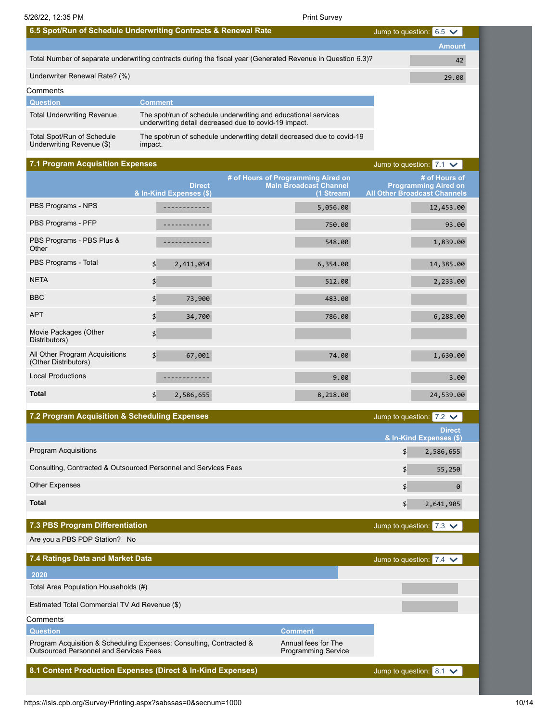| 6.5 Spot/Run of Schedule Underwriting Contracts & Renewal Rate  |                                          | <b>Print Survey</b>                                                                                                     | Jump to question: $6.5 \times$      |                                              |
|-----------------------------------------------------------------|------------------------------------------|-------------------------------------------------------------------------------------------------------------------------|-------------------------------------|----------------------------------------------|
|                                                                 |                                          |                                                                                                                         |                                     | <b>Amount</b>                                |
|                                                                 |                                          | Total Number of separate underwriting contracts during the fiscal year (Generated Revenue in Question 6.3)?             |                                     | 42                                           |
| Underwriter Renewal Rate? (%)                                   |                                          |                                                                                                                         |                                     | 29.00                                        |
| Comments                                                        |                                          |                                                                                                                         |                                     |                                              |
| <b>Question</b>                                                 | <b>Comment</b>                           |                                                                                                                         |                                     |                                              |
| <b>Total Underwriting Revenue</b>                               |                                          | The spot/run of schedule underwriting and educational services<br>underwriting detail decreased due to covid-19 impact. |                                     |                                              |
| Total Spot/Run of Schedule<br>Underwriting Revenue (\$)         | impact.                                  | The spot/run of schedule underwriting detail decreased due to covid-19                                                  |                                     |                                              |
| <b>7.1 Program Acquisition Expenses</b>                         |                                          |                                                                                                                         | Jump to question: $7.1 \times$      |                                              |
|                                                                 | <b>Direct</b><br>& In-Kind Expenses (\$) | # of Hours of Programming Aired on<br><b>Main Broadcast Channel</b><br>(1 Stream)                                       | <b>All Other Broadcast Channels</b> | # of Hours of<br><b>Programming Aired on</b> |
| PBS Programs - NPS                                              | ------------                             | 5,056.00                                                                                                                |                                     | 12,453.00                                    |
| PBS Programs - PFP                                              |                                          | 750.00                                                                                                                  |                                     | 93.00                                        |
| PBS Programs - PBS Plus &<br>Other                              | $- - - - - -$                            | 548.00                                                                                                                  |                                     | 1,839.00                                     |
| PBS Programs - Total                                            | \$<br>2,411,054                          | 6,354.00                                                                                                                |                                     | 14,385.00                                    |
| <b>NETA</b>                                                     | \$                                       | 512.00                                                                                                                  |                                     | 2,233.00                                     |
| <b>BBC</b>                                                      | \$<br>73,900                             | 483.00                                                                                                                  |                                     |                                              |
| <b>APT</b>                                                      | \$<br>34,700                             | 786.00                                                                                                                  |                                     | 6,288.00                                     |
| Movie Packages (Other<br>Distributors)                          | \$                                       |                                                                                                                         |                                     |                                              |
| All Other Program Acquisitions<br>(Other Distributors)          | \$<br>67,001                             | 74.00                                                                                                                   |                                     | 1,630.00                                     |
| <b>Local Productions</b>                                        |                                          | 9.00                                                                                                                    |                                     | 3.00                                         |
| <b>Total</b>                                                    | 2,586,655<br>\$                          | 8,218.00                                                                                                                |                                     | 24,539.00                                    |
| 7.2 Program Acquisition & Scheduling Expenses                   |                                          |                                                                                                                         | Jump to question: $7.2 \times$      |                                              |
|                                                                 |                                          |                                                                                                                         |                                     | <b>Direct</b><br>& In-Kind Expenses (\$)     |
| <b>Program Acquisitions</b>                                     |                                          |                                                                                                                         | \$                                  | 2,586,655                                    |
| Consulting, Contracted & Outsourced Personnel and Services Fees |                                          |                                                                                                                         | \$                                  | 55,250                                       |
| <b>Other Expenses</b>                                           |                                          |                                                                                                                         | \$                                  | 0                                            |
| <b>Total</b>                                                    |                                          |                                                                                                                         | \$                                  | 2,641,905                                    |
| 7.3 PBS Program Differentiation                                 |                                          |                                                                                                                         | Jump to question: $7.3 \times$      |                                              |

Total Area Population Households (#)

Estimated Total Commercial TV Ad Revenue (\$)

**Comments** 

**Question Comment**

Program Acquisition & Scheduling Expenses: Consulting, Contracted & Outsourced Personnel and Services Fees

**8.1 Content Production Expenses (Direct & In-Kind Expenses)**

Jump to question:  $8.1 \times$ 

Annual fees for The Programming Service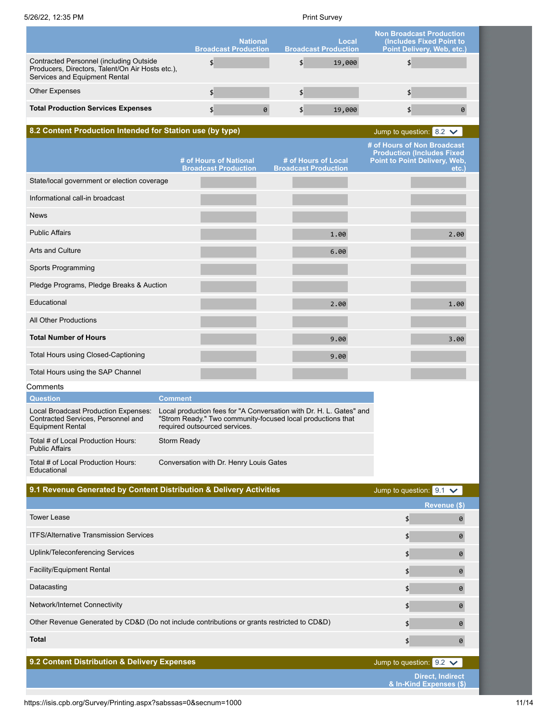|                                                                                                                              | <b>National</b><br><b>Broadcast Production</b> | Local<br><b>Broadcast Production</b> | <b>Non Broadcast Production</b><br>(Includes Fixed Point to<br>Point Delivery, Web, etc.) |
|------------------------------------------------------------------------------------------------------------------------------|------------------------------------------------|--------------------------------------|-------------------------------------------------------------------------------------------|
| Contracted Personnel (including Outside<br>Producers, Directors, Talent/On Air Hosts etc.),<br>Services and Equipment Rental |                                                | 19,000                               |                                                                                           |
| <b>Other Expenses</b>                                                                                                        |                                                |                                      |                                                                                           |
| <b>Total Production Services Expenses</b>                                                                                    | 0                                              | 19,000                               |                                                                                           |

**8.2 Content Production Intended for Station use (by type)**

| Jump to question: 8.2 |  |
|-----------------------|--|

|                                             | # of Hours of National      | # of Hours of Local         | # of Hours of Non Broadcast<br><b>Production (Includes Fixed</b><br>Point to Point Delivery, Web, |
|---------------------------------------------|-----------------------------|-----------------------------|---------------------------------------------------------------------------------------------------|
|                                             | <b>Broadcast Production</b> | <b>Broadcast Production</b> | etc.                                                                                              |
| State/local government or election coverage |                             |                             |                                                                                                   |
| Informational call-in broadcast             |                             |                             |                                                                                                   |
| <b>News</b>                                 |                             |                             |                                                                                                   |
| <b>Public Affairs</b>                       |                             | 1.00                        | 2.00                                                                                              |
| <b>Arts and Culture</b>                     |                             | 6.00                        |                                                                                                   |
| Sports Programming                          |                             |                             |                                                                                                   |
| Pledge Programs, Pledge Breaks & Auction    |                             |                             |                                                                                                   |
| Educational                                 |                             | 2.00                        | 1.00                                                                                              |
| <b>All Other Productions</b>                |                             |                             |                                                                                                   |
| <b>Total Number of Hours</b>                |                             | 9.00                        | 3.00                                                                                              |
| Total Hours using Closed-Captioning         |                             | 9.00                        |                                                                                                   |
| Total Hours using the SAP Channel           |                             |                             |                                                                                                   |
| Comments                                    |                             |                             |                                                                                                   |

| <b>Question</b>                                                                                       | Comment                                                                                                                                                             |
|-------------------------------------------------------------------------------------------------------|---------------------------------------------------------------------------------------------------------------------------------------------------------------------|
| Local Broadcast Production Expenses:<br>Contracted Services, Personnel and<br><b>Equipment Rental</b> | Local production fees for "A Conversation with Dr. H. L. Gates" and<br>"Strom Ready." Two community-focused local productions that<br>required outsourced services. |
| Total # of Local Production Hours:<br><b>Public Affairs</b>                                           | Storm Ready                                                                                                                                                         |
| Total # of Local Production Hours:<br><b>Educational</b>                                              | Conversation with Dr. Henry Louis Gates                                                                                                                             |

| 9.1 Revenue Generated by Content Distribution & Delivery Activities                         | Jump to question: $9.1 \checkmark$ |   |
|---------------------------------------------------------------------------------------------|------------------------------------|---|
|                                                                                             | Revenue (\$)                       |   |
| <b>Tower Lease</b>                                                                          | \$                                 | 0 |
| <b>ITFS/Alternative Transmission Services</b>                                               | \$                                 | 0 |
| Uplink/Teleconferencing Services                                                            | \$                                 | Ø |
| <b>Facility/Equipment Rental</b>                                                            | \$                                 | 0 |
| Datacasting                                                                                 | \$                                 | Ø |
| Network/Internet Connectivity                                                               | \$                                 | 0 |
| Other Revenue Generated by CD&D (Do not include contributions or grants restricted to CD&D) | \$                                 | 0 |
| <b>Total</b>                                                                                | \$                                 | 0 |
|                                                                                             |                                    |   |
| 9.2 Content Distribution & Delivery Expenses                                                | Jump to question: $9.2 \times$     |   |
|                                                                                             | <b>Direct, Indirect</b>            |   |

**& In-Kind Expenses (\$)**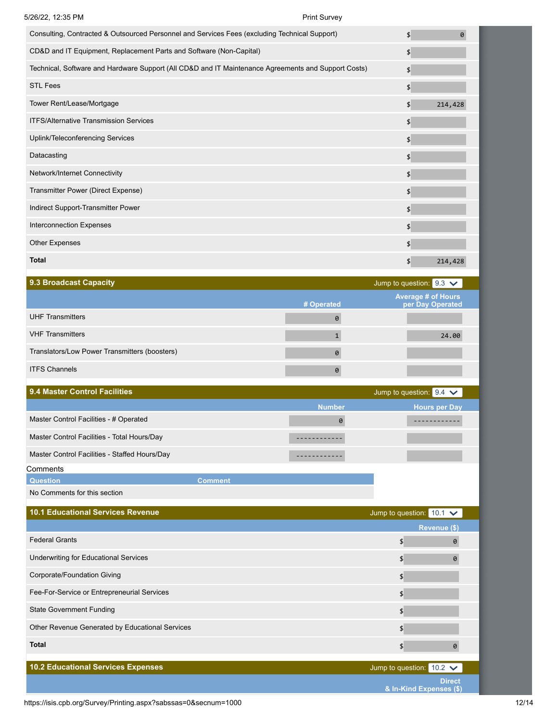| 5/26/22, 12:35 PM                                                                                   | <b>Print Survey</b> |                           |          |
|-----------------------------------------------------------------------------------------------------|---------------------|---------------------------|----------|
| Consulting, Contracted & Outsourced Personnel and Services Fees (excluding Technical Support)       |                     | \$                        | $\theta$ |
| CD&D and IT Equipment, Replacement Parts and Software (Non-Capital)                                 |                     | \$                        |          |
| Technical, Software and Hardware Support (All CD&D and IT Maintenance Agreements and Support Costs) |                     | \$                        |          |
| <b>STL Fees</b>                                                                                     |                     | \$                        |          |
| Tower Rent/Lease/Mortgage                                                                           |                     | \$                        | 214,428  |
| <b>ITFS/Alternative Transmission Services</b>                                                       |                     | \$                        |          |
| Uplink/Teleconferencing Services                                                                    |                     | \$                        |          |
| Datacasting                                                                                         |                     | \$                        |          |
| Network/Internet Connectivity                                                                       |                     | \$                        |          |
| Transmitter Power (Direct Expense)                                                                  |                     | \$                        |          |
| Indirect Support-Transmitter Power                                                                  |                     | $\boldsymbol{\mathsf{S}}$ |          |
| <b>Interconnection Expenses</b>                                                                     |                     | \$                        |          |
| Other Expenses                                                                                      |                     | \$                        |          |
| <b>Total</b>                                                                                        |                     | \$                        | 214,428  |

| 9.3 Broadcast Capacity                        |            | Jump to question: $9.3 \times$                |
|-----------------------------------------------|------------|-----------------------------------------------|
|                                               | # Operated | <b>Average # of Hours</b><br>per Day Operated |
| <b>UHF Transmitters</b>                       | 0          |                                               |
| <b>VHF Transmitters</b>                       |            | 24.00                                         |
| Translators/Low Power Transmitters (boosters) | $\theta$   |                                               |
| <b>ITFS Channels</b>                          | 0          |                                               |

| <b>9.4 Master Control Facilities</b> |  |  |
|--------------------------------------|--|--|
|                                      |  |  |

| 9.4 Master Control Facilities                 |                |               | Jump to question: $9.4 \times$ |
|-----------------------------------------------|----------------|---------------|--------------------------------|
|                                               |                | <b>Number</b> | <b>Hours per Day</b>           |
| Master Control Facilities - # Operated        |                | 0             |                                |
| Master Control Facilities - Total Hours/Day   |                |               |                                |
| Master Control Facilities - Staffed Hours/Day |                |               |                                |
| Comments                                      |                |               |                                |
| <b>Question</b>                               | <b>Comment</b> |               |                                |

No Comments for this section

ı

| <b>10.1 Educational Services Revenue</b>        | Jump to question:               | $10.1 \times$ |  |
|-------------------------------------------------|---------------------------------|---------------|--|
|                                                 |                                 | Revenue (\$)  |  |
| <b>Federal Grants</b>                           | \$                              | 0             |  |
| <b>Underwriting for Educational Services</b>    | \$                              | Ø             |  |
| Corporate/Foundation Giving                     | \$                              |               |  |
| Fee-For-Service or Entrepreneurial Services     | \$                              |               |  |
| <b>State Government Funding</b>                 | \$                              |               |  |
| Other Revenue Generated by Educational Services | \$                              |               |  |
| <b>Total</b>                                    | \$                              |               |  |
|                                                 |                                 |               |  |
| <b>10.2 Educational Services Expenses</b>       | Jump to question: $10.2 \times$ |               |  |
|                                                 |                                 | <b>Direct</b> |  |

**& In-Kind Expenses (\$)**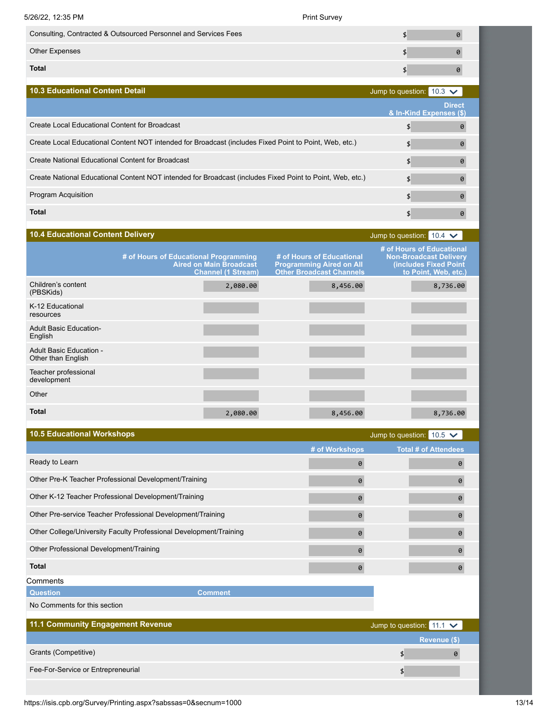| 5/26/22, 12:35 PM                                               | <b>Print Survey</b> |                                          |
|-----------------------------------------------------------------|---------------------|------------------------------------------|
| Consulting, Contracted & Outsourced Personnel and Services Fees |                     |                                          |
| <b>Other Expenses</b>                                           |                     | 0                                        |
| <b>Total</b>                                                    |                     | 0                                        |
| <b>10.3 Educational Content Detail</b>                          |                     | Jump to question: $10.3 \times$          |
|                                                                 |                     | <b>Direct</b><br>& In-Kind Expenses (\$) |

| Create Local Educational Content for Broadcast                                                            |  |
|-----------------------------------------------------------------------------------------------------------|--|
| Create Local Educational Content NOT intended for Broadcast (includes Fixed Point to Point, Web, etc.)    |  |
| Create National Educational Content for Broadcast                                                         |  |
| Create National Educational Content NOT intended for Broadcast (includes Fixed Point to Point, Web, etc.) |  |
| <b>Program Acquisition</b>                                                                                |  |
| <b>Total</b>                                                                                              |  |

| <b>10.4 Educational Content Delivery</b>      |                                                                                                      |                                                                                                 | Jump to question: $10.4 \times$                                                                             |
|-----------------------------------------------|------------------------------------------------------------------------------------------------------|-------------------------------------------------------------------------------------------------|-------------------------------------------------------------------------------------------------------------|
|                                               | # of Hours of Educational Programming<br><b>Aired on Main Broadcast</b><br><b>Channel (1 Stream)</b> | # of Hours of Educational<br><b>Programming Aired on All</b><br><b>Other Broadcast Channels</b> | # of Hours of Educational<br><b>Non-Broadcast Delivery</b><br>(includes Fixed Point<br>to Point, Web, etc.) |
| Children's content<br>(PBSKids)               | 2,080.00                                                                                             | 8,456.00                                                                                        | 8,736.00                                                                                                    |
| K-12 Educational<br>resources                 |                                                                                                      |                                                                                                 |                                                                                                             |
| <b>Adult Basic Education-</b><br>English      |                                                                                                      |                                                                                                 |                                                                                                             |
| Adult Basic Education -<br>Other than English |                                                                                                      |                                                                                                 |                                                                                                             |
| Teacher professional<br>development           |                                                                                                      |                                                                                                 |                                                                                                             |
| Other                                         |                                                                                                      |                                                                                                 |                                                                                                             |
| <b>Total</b>                                  | 2,080.00                                                                                             | 8,456.00                                                                                        | 8,736.00                                                                                                    |

| <b>10.5 Educational Workshops</b>                                  |                       | Jump to question: $10.5 \times$ |                             |  |
|--------------------------------------------------------------------|-----------------------|---------------------------------|-----------------------------|--|
|                                                                    | # of Workshops        |                                 | <b>Total # of Attendees</b> |  |
| Ready to Learn                                                     | 0                     |                                 | 0                           |  |
| Other Pre-K Teacher Professional Development/Training              | 0                     |                                 | ø                           |  |
| Other K-12 Teacher Professional Development/Training               | 0                     |                                 | 0                           |  |
| Other Pre-service Teacher Professional Development/Training        | 0                     |                                 | 0                           |  |
| Other College/University Faculty Professional Development/Training | $\boldsymbol{\theta}$ |                                 | Ø.                          |  |
| Other Professional Development/Training                            | 0                     |                                 | ø                           |  |
| <b>Total</b>                                                       | $\theta$              |                                 | 0                           |  |
| Comments                                                           |                       |                                 |                             |  |
| <b>Question</b><br><b>Comment</b>                                  |                       |                                 |                             |  |
| No Comments for this section                                       |                       |                                 |                             |  |
| 11.1 Community Engagement Revenue                                  |                       | Jump to question: $11.1 \times$ |                             |  |
|                                                                    |                       |                                 | Revenue (\$)                |  |
| Grants (Competitive)                                               |                       | \$                              | ø                           |  |
| Fee-For-Service or Entrepreneurial                                 |                       | \$                              |                             |  |